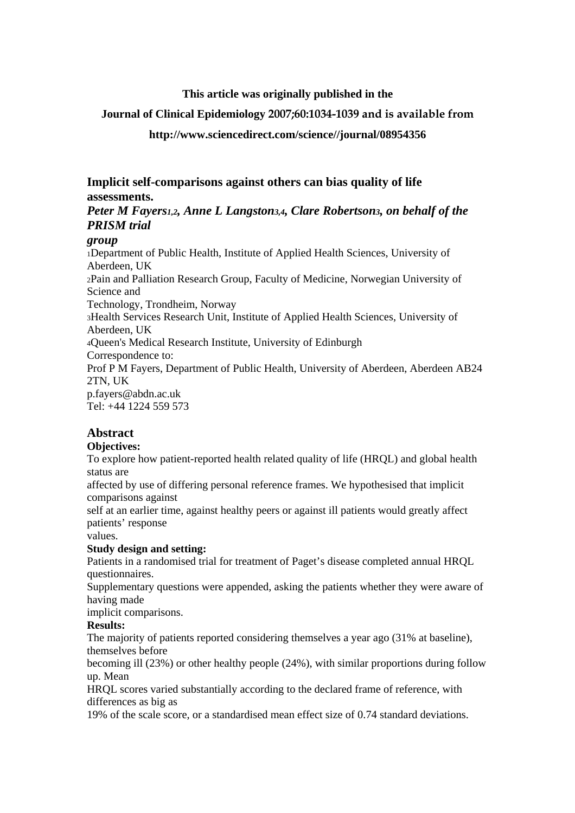## **This article was originally published in the**

## **Journal of Clinical Epidemiology 2007;60:1034-1039 and is available from**

## **http://www.sciencedirect.com/science//journal/08954356**

**Implicit self-comparisons against others can bias quality of life assessments.** 

# *Peter M Fayers1,2, Anne L Langston3,4, Clare Robertson3, on behalf of the PRISM trial*

## *group*

1Department of Public Health, Institute of Applied Health Sciences, University of Aberdeen, UK 2Pain and Palliation Research Group, Faculty of Medicine, Norwegian University of Science and Technology, Trondheim, Norway 3Health Services Research Unit, Institute of Applied Health Sciences, University of Aberdeen, UK 4Queen's Medical Research Institute, University of Edinburgh Correspondence to: Prof P M Fayers, Department of Public Health, University of Aberdeen, Aberdeen AB24 2TN, UK p.fayers@abdn.ac.uk Tel: +44 1224 559 573

# **Abstract**

## **Objectives:**

To explore how patient-reported health related quality of life (HRQL) and global health status are

affected by use of differing personal reference frames. We hypothesised that implicit comparisons against

self at an earlier time, against healthy peers or against ill patients would greatly affect patients' response

values.

## **Study design and setting:**

Patients in a randomised trial for treatment of Paget's disease completed annual HRQL questionnaires.

Supplementary questions were appended, asking the patients whether they were aware of having made

implicit comparisons.

### **Results:**

The majority of patients reported considering themselves a year ago (31% at baseline), themselves before

becoming ill (23%) or other healthy people (24%), with similar proportions during follow up. Mean

HRQL scores varied substantially according to the declared frame of reference, with differences as big as

19% of the scale score, or a standardised mean effect size of 0.74 standard deviations.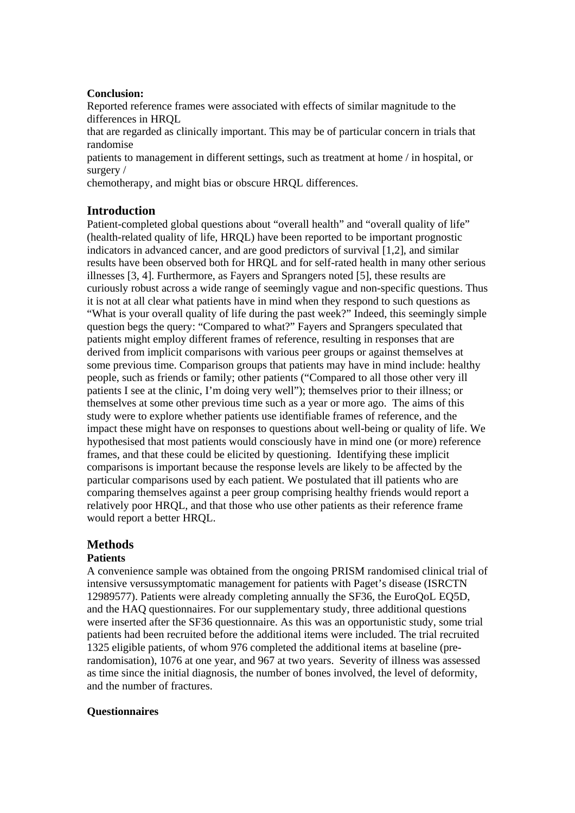### **Conclusion:**

Reported reference frames were associated with effects of similar magnitude to the differences in HRQL

that are regarded as clinically important. This may be of particular concern in trials that randomise

patients to management in different settings, such as treatment at home / in hospital, or surgery /

chemotherapy, and might bias or obscure HRQL differences.

## **Introduction**

Patient-completed global questions about "overall health" and "overall quality of life" (health-related quality of life, HRQL) have been reported to be important prognostic indicators in advanced cancer, and are good predictors of survival [1,2], and similar results have been observed both for HRQL and for self-rated health in many other serious illnesses [3, 4]. Furthermore, as Fayers and Sprangers noted [5], these results are curiously robust across a wide range of seemingly vague and non-specific questions. Thus it is not at all clear what patients have in mind when they respond to such questions as "What is your overall quality of life during the past week?" Indeed, this seemingly simple question begs the query: "Compared to what?" Fayers and Sprangers speculated that patients might employ different frames of reference, resulting in responses that are derived from implicit comparisons with various peer groups or against themselves at some previous time. Comparison groups that patients may have in mind include: healthy people, such as friends or family; other patients ("Compared to all those other very ill patients I see at the clinic, I'm doing very well"); themselves prior to their illness; or themselves at some other previous time such as a year or more ago. The aims of this study were to explore whether patients use identifiable frames of reference, and the impact these might have on responses to questions about well-being or quality of life. We hypothesised that most patients would consciously have in mind one (or more) reference frames, and that these could be elicited by questioning. Identifying these implicit comparisons is important because the response levels are likely to be affected by the particular comparisons used by each patient. We postulated that ill patients who are comparing themselves against a peer group comprising healthy friends would report a relatively poor HRQL, and that those who use other patients as their reference frame would report a better HRQL.

# **Methods**

## **Patients**

A convenience sample was obtained from the ongoing PRISM randomised clinical trial of intensive versussymptomatic management for patients with Paget's disease (ISRCTN 12989577). Patients were already completing annually the SF36, the EuroQoL EQ5D, and the HAQ questionnaires. For our supplementary study, three additional questions were inserted after the SF36 questionnaire. As this was an opportunistic study, some trial patients had been recruited before the additional items were included. The trial recruited 1325 eligible patients, of whom 976 completed the additional items at baseline (prerandomisation), 1076 at one year, and 967 at two years. Severity of illness was assessed as time since the initial diagnosis, the number of bones involved, the level of deformity, and the number of fractures.

## **Questionnaires**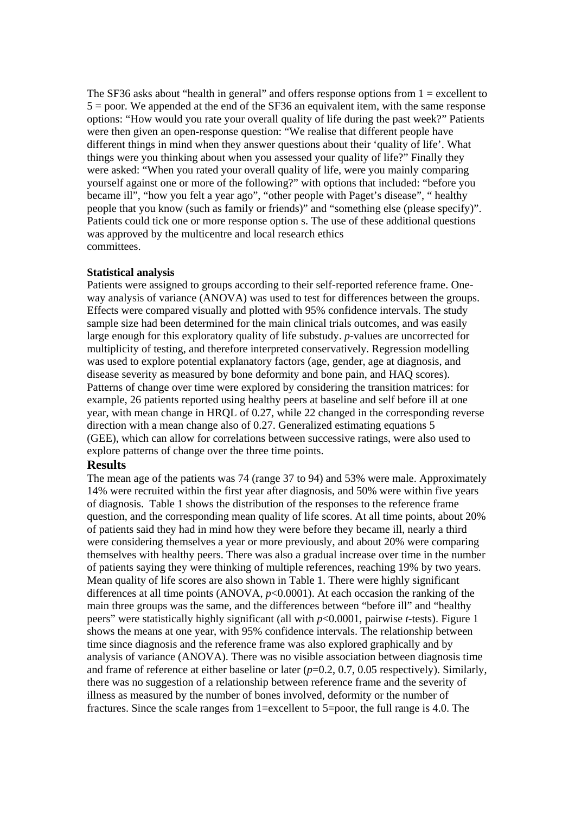The SF36 asks about "health in general" and offers response options from  $1 =$  excellent to 5 = poor. We appended at the end of the SF36 an equivalent item, with the same response options: "How would you rate your overall quality of life during the past week?" Patients were then given an open-response question: "We realise that different people have different things in mind when they answer questions about their 'quality of life'. What things were you thinking about when you assessed your quality of life?" Finally they were asked: "When you rated your overall quality of life, were you mainly comparing yourself against one or more of the following?" with options that included: "before you became ill", "how you felt a year ago", "other people with Paget's disease", " healthy people that you know (such as family or friends)" and "something else (please specify)". Patients could tick one or more response option s. The use of these additional questions was approved by the multicentre and local research ethics committees.

#### **Statistical analysis**

Patients were assigned to groups according to their self-reported reference frame. Oneway analysis of variance (ANOVA) was used to test for differences between the groups. Effects were compared visually and plotted with 95% confidence intervals. The study sample size had been determined for the main clinical trials outcomes, and was easily large enough for this exploratory quality of life substudy. *p*-values are uncorrected for multiplicity of testing, and therefore interpreted conservatively. Regression modelling was used to explore potential explanatory factors (age, gender, age at diagnosis, and disease severity as measured by bone deformity and bone pain, and HAQ scores). Patterns of change over time were explored by considering the transition matrices: for example, 26 patients reported using healthy peers at baseline and self before ill at one year, with mean change in HRQL of 0.27, while 22 changed in the corresponding reverse direction with a mean change also of 0.27. Generalized estimating equations 5 (GEE), which can allow for correlations between successive ratings, were also used to explore patterns of change over the three time points.

### **Results**

The mean age of the patients was 74 (range 37 to 94) and 53% were male. Approximately 14% were recruited within the first year after diagnosis, and 50% were within five years of diagnosis. Table 1 shows the distribution of the responses to the reference frame question, and the corresponding mean quality of life scores. At all time points, about 20% of patients said they had in mind how they were before they became ill, nearly a third were considering themselves a year or more previously, and about 20% were comparing themselves with healthy peers. There was also a gradual increase over time in the number of patients saying they were thinking of multiple references, reaching 19% by two years. Mean quality of life scores are also shown in Table 1. There were highly significant differences at all time points (ANOVA,  $p<0.0001$ ). At each occasion the ranking of the main three groups was the same, and the differences between "before ill" and "healthy peers" were statistically highly significant (all with *p*<0.0001, pairwise *t*-tests). Figure 1 shows the means at one year, with 95% confidence intervals. The relationship between time since diagnosis and the reference frame was also explored graphically and by analysis of variance (ANOVA). There was no visible association between diagnosis time and frame of reference at either baseline or later (*p*=0.2, 0.7, 0.05 respectively). Similarly, there was no suggestion of a relationship between reference frame and the severity of illness as measured by the number of bones involved, deformity or the number of fractures. Since the scale ranges from 1=excellent to 5=poor, the full range is 4.0. The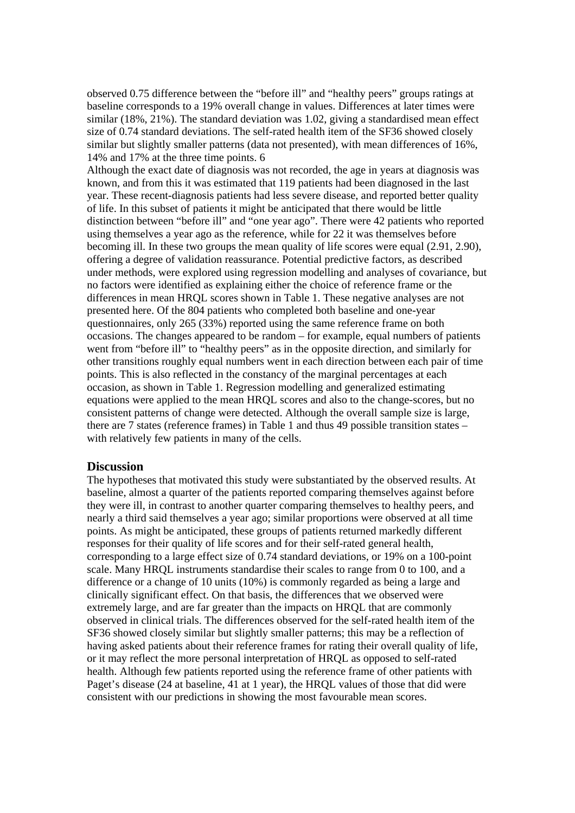observed 0.75 difference between the "before ill" and "healthy peers" groups ratings at baseline corresponds to a 19% overall change in values. Differences at later times were similar (18%, 21%). The standard deviation was 1.02, giving a standardised mean effect size of 0.74 standard deviations. The self-rated health item of the SF36 showed closely similar but slightly smaller patterns (data not presented), with mean differences of 16%, 14% and 17% at the three time points. 6

Although the exact date of diagnosis was not recorded, the age in years at diagnosis was known, and from this it was estimated that 119 patients had been diagnosed in the last year. These recent-diagnosis patients had less severe disease, and reported better quality of life. In this subset of patients it might be anticipated that there would be little distinction between "before ill" and "one year ago". There were 42 patients who reported using themselves a year ago as the reference, while for 22 it was themselves before becoming ill. In these two groups the mean quality of life scores were equal (2.91, 2.90), offering a degree of validation reassurance. Potential predictive factors, as described under methods, were explored using regression modelling and analyses of covariance, but no factors were identified as explaining either the choice of reference frame or the differences in mean HRQL scores shown in Table 1. These negative analyses are not presented here. Of the 804 patients who completed both baseline and one-year questionnaires, only 265 (33%) reported using the same reference frame on both occasions. The changes appeared to be random – for example, equal numbers of patients went from "before ill" to "healthy peers" as in the opposite direction, and similarly for other transitions roughly equal numbers went in each direction between each pair of time points. This is also reflected in the constancy of the marginal percentages at each occasion, as shown in Table 1. Regression modelling and generalized estimating equations were applied to the mean HRQL scores and also to the change-scores, but no consistent patterns of change were detected. Although the overall sample size is large, there are 7 states (reference frames) in Table 1 and thus 49 possible transition states – with relatively few patients in many of the cells.

## **Discussion**

The hypotheses that motivated this study were substantiated by the observed results. At baseline, almost a quarter of the patients reported comparing themselves against before they were ill, in contrast to another quarter comparing themselves to healthy peers, and nearly a third said themselves a year ago; similar proportions were observed at all time points. As might be anticipated, these groups of patients returned markedly different responses for their quality of life scores and for their self-rated general health, corresponding to a large effect size of 0.74 standard deviations, or 19% on a 100-point scale. Many HRQL instruments standardise their scales to range from 0 to 100, and a difference or a change of 10 units (10%) is commonly regarded as being a large and clinically significant effect. On that basis, the differences that we observed were extremely large, and are far greater than the impacts on HRQL that are commonly observed in clinical trials. The differences observed for the self-rated health item of the SF36 showed closely similar but slightly smaller patterns; this may be a reflection of having asked patients about their reference frames for rating their overall quality of life, or it may reflect the more personal interpretation of HRQL as opposed to self-rated health. Although few patients reported using the reference frame of other patients with Paget's disease (24 at baseline, 41 at 1 year), the HRQL values of those that did were consistent with our predictions in showing the most favourable mean scores.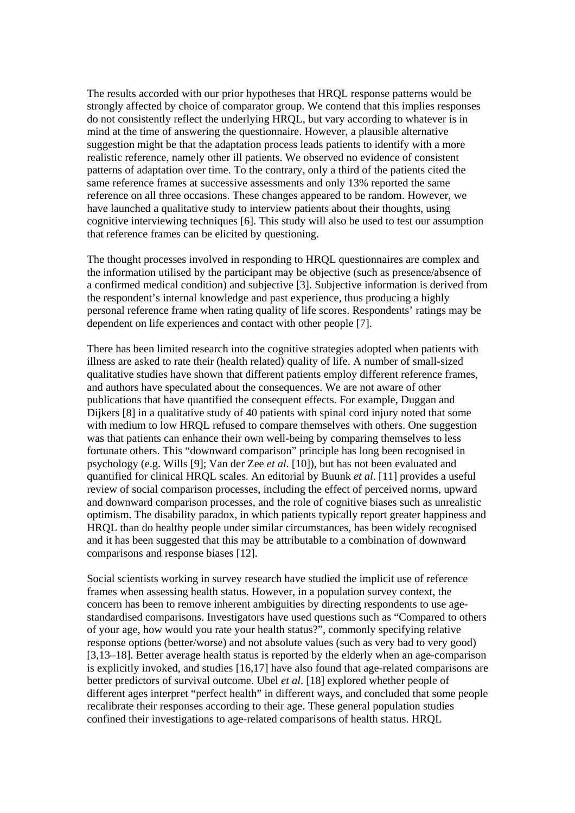The results accorded with our prior hypotheses that HRQL response patterns would be strongly affected by choice of comparator group. We contend that this implies responses do not consistently reflect the underlying HRQL, but vary according to whatever is in mind at the time of answering the questionnaire. However, a plausible alternative suggestion might be that the adaptation process leads patients to identify with a more realistic reference, namely other ill patients. We observed no evidence of consistent patterns of adaptation over time. To the contrary, only a third of the patients cited the same reference frames at successive assessments and only 13% reported the same reference on all three occasions. These changes appeared to be random. However, we have launched a qualitative study to interview patients about their thoughts, using cognitive interviewing techniques [6]. This study will also be used to test our assumption that reference frames can be elicited by questioning.

The thought processes involved in responding to HRQL questionnaires are complex and the information utilised by the participant may be objective (such as presence/absence of a confirmed medical condition) and subjective [3]. Subjective information is derived from the respondent's internal knowledge and past experience, thus producing a highly personal reference frame when rating quality of life scores. Respondents' ratings may be dependent on life experiences and contact with other people [7].

There has been limited research into the cognitive strategies adopted when patients with illness are asked to rate their (health related) quality of life. A number of small-sized qualitative studies have shown that different patients employ different reference frames, and authors have speculated about the consequences. We are not aware of other publications that have quantified the consequent effects. For example, Duggan and Dijkers [8] in a qualitative study of 40 patients with spinal cord injury noted that some with medium to low HRQL refused to compare themselves with others. One suggestion was that patients can enhance their own well-being by comparing themselves to less fortunate others. This "downward comparison" principle has long been recognised in psychology (e.g. Wills [9]; Van der Zee *et al*. [10]), but has not been evaluated and quantified for clinical HRQL scales. An editorial by Buunk *et al*. [11] provides a useful review of social comparison processes, including the effect of perceived norms, upward and downward comparison processes, and the role of cognitive biases such as unrealistic optimism. The disability paradox, in which patients typically report greater happiness and HRQL than do healthy people under similar circumstances, has been widely recognised and it has been suggested that this may be attributable to a combination of downward comparisons and response biases [12].

Social scientists working in survey research have studied the implicit use of reference frames when assessing health status. However, in a population survey context, the concern has been to remove inherent ambiguities by directing respondents to use agestandardised comparisons. Investigators have used questions such as "Compared to others of your age, how would you rate your health status?", commonly specifying relative response options (better/worse) and not absolute values (such as very bad to very good) [3,13–18]. Better average health status is reported by the elderly when an age-comparison is explicitly invoked, and studies [16,17] have also found that age-related comparisons are better predictors of survival outcome. Ubel *et al*. [18] explored whether people of different ages interpret "perfect health" in different ways, and concluded that some people recalibrate their responses according to their age. These general population studies confined their investigations to age-related comparisons of health status. HRQL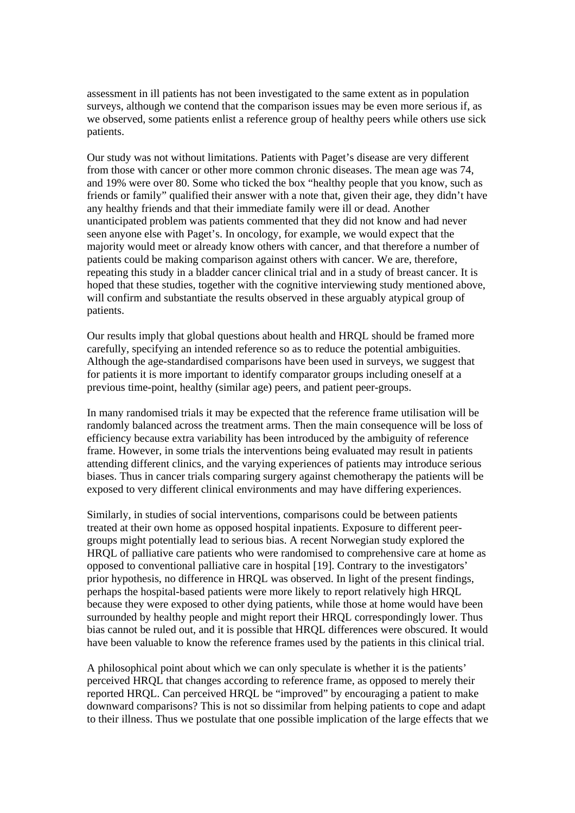assessment in ill patients has not been investigated to the same extent as in population surveys, although we contend that the comparison issues may be even more serious if, as we observed, some patients enlist a reference group of healthy peers while others use sick patients.

Our study was not without limitations. Patients with Paget's disease are very different from those with cancer or other more common chronic diseases. The mean age was 74, and 19% were over 80. Some who ticked the box "healthy people that you know, such as friends or family" qualified their answer with a note that, given their age, they didn't have any healthy friends and that their immediate family were ill or dead. Another unanticipated problem was patients commented that they did not know and had never seen anyone else with Paget's. In oncology, for example, we would expect that the majority would meet or already know others with cancer, and that therefore a number of patients could be making comparison against others with cancer. We are, therefore, repeating this study in a bladder cancer clinical trial and in a study of breast cancer. It is hoped that these studies, together with the cognitive interviewing study mentioned above, will confirm and substantiate the results observed in these arguably atypical group of patients.

Our results imply that global questions about health and HRQL should be framed more carefully, specifying an intended reference so as to reduce the potential ambiguities. Although the age-standardised comparisons have been used in surveys, we suggest that for patients it is more important to identify comparator groups including oneself at a previous time-point, healthy (similar age) peers, and patient peer-groups.

In many randomised trials it may be expected that the reference frame utilisation will be randomly balanced across the treatment arms. Then the main consequence will be loss of efficiency because extra variability has been introduced by the ambiguity of reference frame. However, in some trials the interventions being evaluated may result in patients attending different clinics, and the varying experiences of patients may introduce serious biases. Thus in cancer trials comparing surgery against chemotherapy the patients will be exposed to very different clinical environments and may have differing experiences.

Similarly, in studies of social interventions, comparisons could be between patients treated at their own home as opposed hospital inpatients. Exposure to different peergroups might potentially lead to serious bias. A recent Norwegian study explored the HRQL of palliative care patients who were randomised to comprehensive care at home as opposed to conventional palliative care in hospital [19]. Contrary to the investigators' prior hypothesis, no difference in HRQL was observed. In light of the present findings, perhaps the hospital-based patients were more likely to report relatively high HRQL because they were exposed to other dying patients, while those at home would have been surrounded by healthy people and might report their HRQL correspondingly lower. Thus bias cannot be ruled out, and it is possible that HRQL differences were obscured. It would have been valuable to know the reference frames used by the patients in this clinical trial.

A philosophical point about which we can only speculate is whether it is the patients' perceived HRQL that changes according to reference frame, as opposed to merely their reported HRQL. Can perceived HRQL be "improved" by encouraging a patient to make downward comparisons? This is not so dissimilar from helping patients to cope and adapt to their illness. Thus we postulate that one possible implication of the large effects that we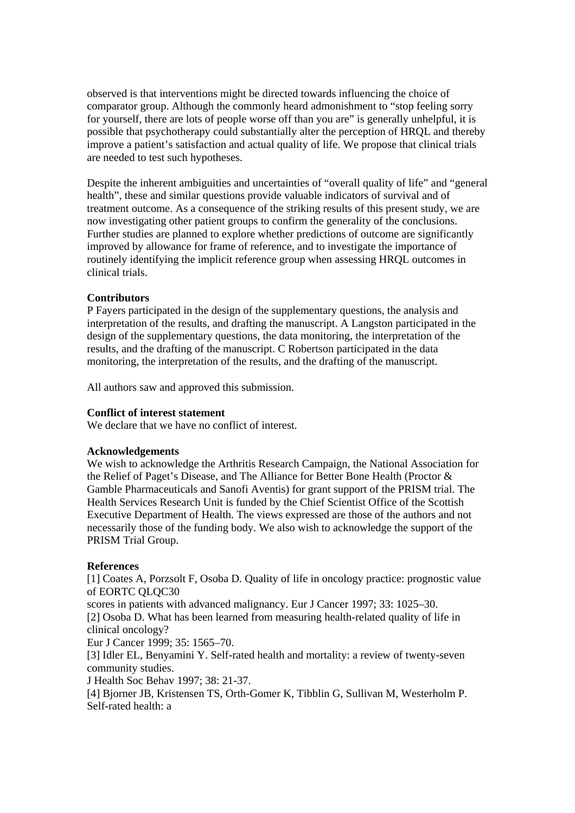observed is that interventions might be directed towards influencing the choice of comparator group. Although the commonly heard admonishment to "stop feeling sorry for yourself, there are lots of people worse off than you are" is generally unhelpful, it is possible that psychotherapy could substantially alter the perception of HRQL and thereby improve a patient's satisfaction and actual quality of life. We propose that clinical trials are needed to test such hypotheses.

Despite the inherent ambiguities and uncertainties of "overall quality of life" and "general health", these and similar questions provide valuable indicators of survival and of treatment outcome. As a consequence of the striking results of this present study, we are now investigating other patient groups to confirm the generality of the conclusions. Further studies are planned to explore whether predictions of outcome are significantly improved by allowance for frame of reference, and to investigate the importance of routinely identifying the implicit reference group when assessing HRQL outcomes in clinical trials.

### **Contributors**

P Fayers participated in the design of the supplementary questions, the analysis and interpretation of the results, and drafting the manuscript. A Langston participated in the design of the supplementary questions, the data monitoring, the interpretation of the results, and the drafting of the manuscript. C Robertson participated in the data monitoring, the interpretation of the results, and the drafting of the manuscript.

All authors saw and approved this submission.

### **Conflict of interest statement**

We declare that we have no conflict of interest.

### **Acknowledgements**

We wish to acknowledge the Arthritis Research Campaign, the National Association for the Relief of Paget's Disease, and The Alliance for Better Bone Health (Proctor & Gamble Pharmaceuticals and Sanofi Aventis) for grant support of the PRISM trial. The Health Services Research Unit is funded by the Chief Scientist Office of the Scottish Executive Department of Health. The views expressed are those of the authors and not necessarily those of the funding body. We also wish to acknowledge the support of the PRISM Trial Group.

### **References**

[1] Coates A, Porzsolt F, Osoba D. Quality of life in oncology practice: prognostic value of EORTC QLQC30

scores in patients with advanced malignancy. Eur J Cancer 1997; 33: 1025–30. [2] Osoba D. What has been learned from measuring health-related quality of life in clinical oncology?

Eur J Cancer 1999; 35: 1565–70.

[3] Idler EL, Benyamini Y. Self-rated health and mortality: a review of twenty-seven community studies.

J Health Soc Behav 1997; 38: 21-37.

[4] Bjorner JB, Kristensen TS, Orth-Gomer K, Tibblin G, Sullivan M, Westerholm P. Self-rated health: a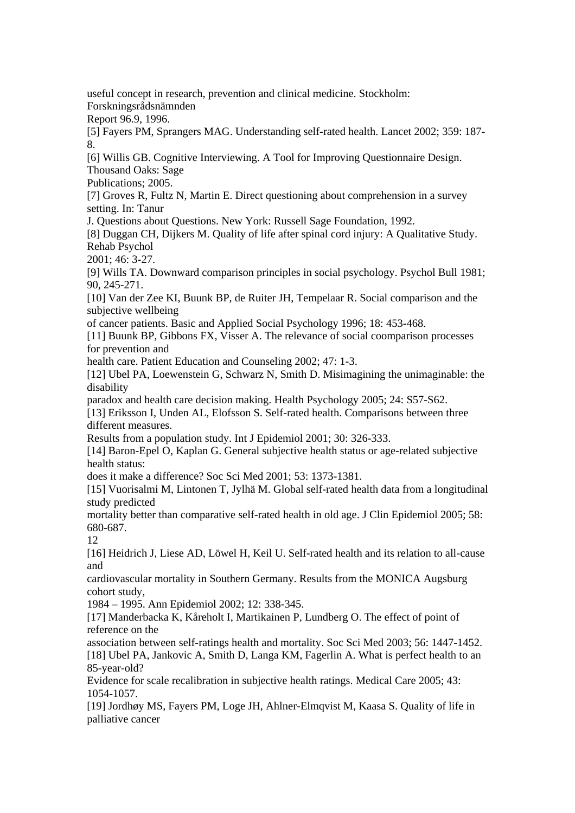useful concept in research, prevention and clinical medicine. Stockholm:

Forskningsrådsnämnden

Report 96.9, 1996.

[5] Fayers PM, Sprangers MAG. Understanding self-rated health. Lancet 2002; 359: 187- 8.

[6] Willis GB. Cognitive Interviewing. A Tool for Improving Questionnaire Design. Thousand Oaks: Sage

Publications; 2005.

[7] Groves R, Fultz N, Martin E. Direct questioning about comprehension in a survey setting. In: Tanur

J. Questions about Questions. New York: Russell Sage Foundation, 1992.

[8] Duggan CH, Dijkers M. Quality of life after spinal cord injury: A Qualitative Study. Rehab Psychol

2001; 46: 3-27.

[9] Wills TA. Downward comparison principles in social psychology. Psychol Bull 1981; 90, 245-271.

[10] Van der Zee KI, Buunk BP, de Ruiter JH, Tempelaar R. Social comparison and the subjective wellbeing

of cancer patients. Basic and Applied Social Psychology 1996; 18: 453-468.

[11] Buunk BP, Gibbons FX, Visser A. The relevance of social coomparison processes for prevention and

health care. Patient Education and Counseling 2002; 47: 1-3.

[12] Ubel PA, Loewenstein G, Schwarz N, Smith D. Misimagining the unimaginable: the disability

paradox and health care decision making. Health Psychology 2005; 24: S57-S62.

[13] Eriksson I, Unden AL, Elofsson S. Self-rated health. Comparisons between three different measures.

Results from a population study. Int J Epidemiol 2001; 30: 326-333.

[14] Baron-Epel O, Kaplan G. General subjective health status or age-related subjective health status:

does it make a difference? Soc Sci Med 2001; 53: 1373-1381.

[15] Vuorisalmi M, Lintonen T, Jylhä M. Global self-rated health data from a longitudinal study predicted

mortality better than comparative self-rated health in old age. J Clin Epidemiol 2005; 58: 680-687.

12

[16] Heidrich J, Liese AD, Löwel H, Keil U. Self-rated health and its relation to all-cause and

cardiovascular mortality in Southern Germany. Results from the MONICA Augsburg cohort study,

1984 – 1995. Ann Epidemiol 2002; 12: 338-345.

[17] Manderbacka K, Kåreholt I, Martikainen P, Lundberg O. The effect of point of reference on the

association between self-ratings health and mortality. Soc Sci Med 2003; 56: 1447-1452. [18] Ubel PA, Jankovic A, Smith D, Langa KM, Fagerlin A. What is perfect health to an 85-year-old?

Evidence for scale recalibration in subjective health ratings. Medical Care 2005; 43: 1054-1057.

[19] Jordhøy MS, Fayers PM, Loge JH, Ahlner-Elmqvist M, Kaasa S. Quality of life in palliative cancer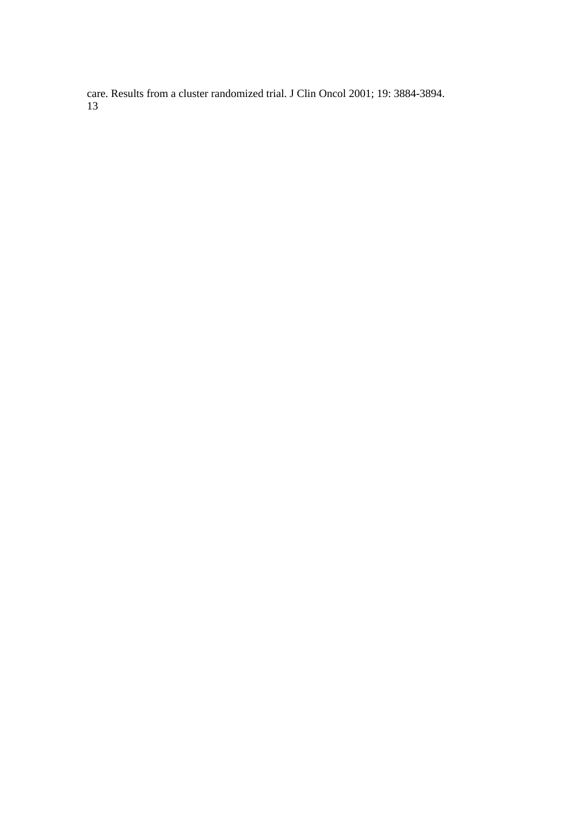care. Results from a cluster randomized trial. J Clin Oncol 2001; 19: 3884-3894. 13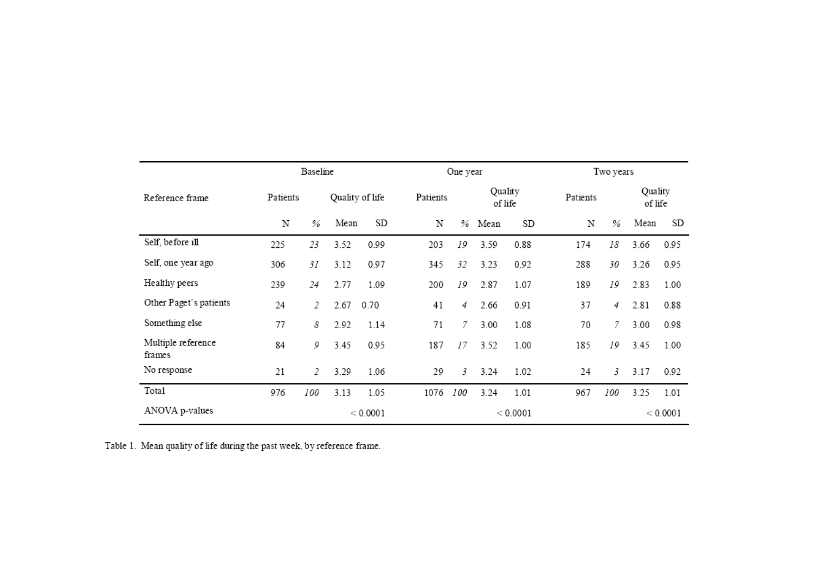|                              | Baseline |     |                 |      |          | One year |          |          |          | Two years |      |                    |  |
|------------------------------|----------|-----|-----------------|------|----------|----------|----------|----------|----------|-----------|------|--------------------|--|
| Reference frame              | Patients |     | Quality of life |      | Patients | Quality  |          | of life  | Patients |           |      | Quality<br>of life |  |
|                              | N        | %   | Mean            | SD   | Ν        |          | % Mean   | SD       | Ν        | %         | Mean | SD                 |  |
| Self, before ill             | 225      | 23  | 3.52            | 0.99 | 203      | 19       | 3.59     | 0.88     | 174      | 18        | 3.66 | 0.95               |  |
| Self, one year ago           | 306      | 31  | 3.12            | 0.97 | 345      | 32       | 3.23     | 0.92     | 288      | 30        | 3.26 | 0.95               |  |
| Healthy peers                | 239      | 24  | 2.77            | 1.09 | 200      | 19       | 2.87     | 1.07     | 189      | 19        | 2.83 | 1.00               |  |
| Other Paget's patients       | 24       | 2   | 2.67            | 0.70 | 41       | 4        | 2.66     | 0.91     | 37       | 4         | 2.81 | 0.88               |  |
| Something else               | 77       | 8   | 2.92            | 1.14 | 71       | 7        | 3.00     | 1.08     | 70       | 7         | 3.00 | 0.98               |  |
| Multiple reference<br>frames | 84       | 9   | 3.45            | 0.95 | 187      | 17       | 3.52     | 1.00     | 185      | 19        | 3.45 | 1.00               |  |
| No response                  | 21       | 2   | 3.29            | 1.06 | 29       | 3        | 3.24     | 1.02     | 24       | 3         | 3.17 | 0.92               |  |
| Total                        | 976      | 100 | 3.13            | 1.05 | 1076     | 100      | 3.24     | 1.01     | 967      | 100       | 3.25 | 1.01               |  |
| ANOVA p-values               | < 0.0001 |     |                 |      |          |          | < 0.0001 | < 0.0001 |          |           |      |                    |  |

Table 1. Mean quality of life during the past week, by reference frame.